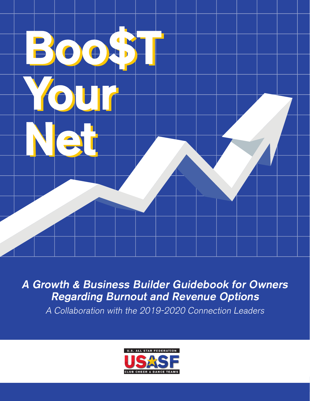

A Growth & Business Builder Guidebook for Owners Regarding Burnout and Revenue Options

A Collaboration with the 2019-2020 Connection Leaders



V1 January 2020 1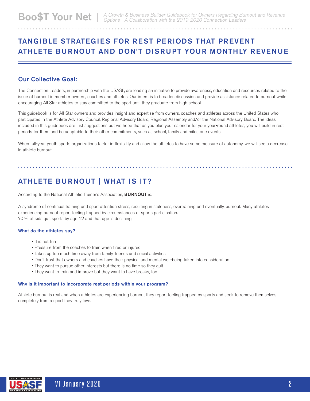## TANGIBLE STRATEGIES FOR REST PERIODS THAT PREVENT ATHLETE BURNOUT AND DON'T DISRUPT YOUR MONTHLY REVENUE

#### Our Collective Goal:

The Connection Leaders, in partnership with the USASF, are leading an initiative to provide awareness, education and resources related to the issue of burnout in member owners, coaches and athletes. Our intent is to broaden discussion and provide assistance related to burnout while encouraging All Star athletes to stay committed to the sport until they graduate from high school.

This guidebook is for All Star owners and provides insight and expertise from owners, coaches and athletes across the United States who participated in the Athlete Advisory Council, Regional Advisory Board, Regional Assembly and/or the National Advisory Board. The ideas included in this guidebook are just suggestions but we hope that as you plan your calendar for your year-round athletes, you will build in rest periods for them and be adaptable to their other commitments, such as school, family and milestone events.

When full-year youth sports organizations factor in flexibility and allow the athletes to have some measure of autonomy, we will see a decrease in athlete burnout.

## ATHLETE BURNOUT | WHAT IS IT?

According to the National Athletic Trainer's Association, **BURNOUT** is:

A syndrome of continual training and sport attention stress, resulting in staleness, overtraining and eventually, burnout. Many athletes experiencing burnout report feeling trapped by circumstances of sports participation. 70 % of kids quit sports by age 12 and that age is declining.

#### What do the athletes say?

- It is not fun
- Pressure from the coaches to train when tired or injured
- Takes up too much time away from family, friends and social activities
- Don't trust that owners and coaches have their physical and mental well-being taken into consideration
- They want to pursue other interests but there is no time so they quit
- They want to train and improve but they want to have breaks, too

#### Why is it important to incorporate rest periods within your program?

Athlete burnout is real and when athletes are experiencing burnout they report feeling trapped by sports and seek to remove themselves completely from a sport they truly love.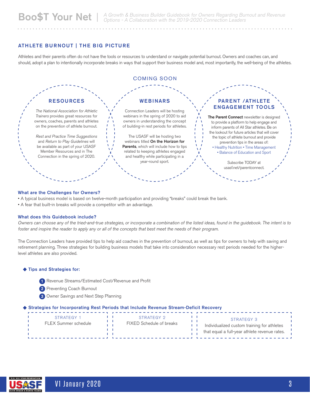#### ATHLETE BURNOUT | THE BIG PICTURE

Athletes and their parents often do not have the tools or resources to understand or navigate potential burnout. Owners and coaches can, and should, adopt a plan to intentionally incorporate breaks in ways that support their business model and, most importantly, the well-being of the athletes.



#### What are the Challenges for Owners?

• A typical business model is based on twelve-month participation and providing "breaks" could break the bank.

• A fear that built-in breaks will provide a competitor with an advantage.

#### What does this Guidebook include?

Owners can choose any of the tried-and-true strategies, or incorporate a combination of the listed ideas, found in the guidebook. The intent is to foster and inspire the reader to apply any or all of the concepts that best meet the needs of their program.

The Connection Leaders have provided tips to help aid coaches in the prevention of burnout, as well as tips for owners to help with saving and retirement planning. Three strategies for building business models that take into consideration necessary rest periods needed for the higherlevel athletes are also provided.

#### Tips and Strategies for:

- 1 Revenue Streams/Estimated Cost/Revenue and Profit
- 2 Preventing Coach Burnout
- 3 Owner Savings and Next Step Planning

#### Strategies for Incorporating Rest Periods that Include Revenue Stream-Deficit Recovery

| STRATEGY 1           | STRATEGY 2               |  | STRATEGY 3                                    |
|----------------------|--------------------------|--|-----------------------------------------------|
|                      |                          |  |                                               |
| FLEX Summer schedule | FIXED Schedule of breaks |  | Individualized custom training for athletes   |
|                      |                          |  | that equal a full-year athlete revenue rates. |
|                      |                          |  |                                               |
|                      |                          |  |                                               |

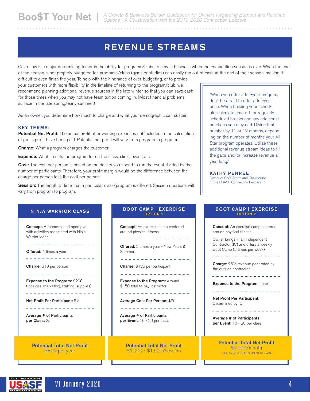## REVENUE STREAMS

Cash flow is a major determining factor in the ability for programs/clubs to stay in business when the competition season is over. When the end of the season is not properly budgeted for, programs/clubs (gyms or studios) can easily run out of cash at the end of their season, making it

difficult to even finish the year. To help with the hindrance of over-budgeting, or to provide your customers with more flexibility in the timeline of returning to the program/club, we recommend planning additional revenue sources in the late winter so that you can save cash for those times when you may not have team tuition coming in. (Most financial problems surface in the late spring/early summer.)

As an owner, you determine how much to charge and what your demographic can sustain.

#### KEY TERMS:

Potential Net Profit: The actual profit after working expenses not included in the calculation of gross profit have been paid. Potential net profit will vary from program to program.

**Charge:** What a program charges the customer.

**Expense:** What it costs the program to run the class, clinic, event, etc.

Cost: The cost per person is based on the dollars you spend to run the event divided by the number of participants. Therefore, your profit margin would be the difference between the charge per person less the cost per person.

Session: The length of time that a particular class/program is offered. Session durations will vary from program to program.

#### NINJA WARRIOR CLASS

**Concept:** A theme-based open gym with activities associated with Ninja Warrior ideas.

-----------------

Offered: 4 times a year

. . . . . . . . . . . . . . . . .

Charge: \$10 per person

Expense to the Program: \$200 (includes, marketing, staffing, supplies)

\_ \_ \_ \_ \_ \_ \_ \_ \_ \_ \_ \_ \_ \_ \_ \_ \_

. . . . . . . . . . . . . . . . .

. . . . . . . . . . . . . . . . . .

Net Profit Per Participant: \$2

Average # of Participants per Class: 25

> Potential Total Net Profit \$800 per year

#### BOOT CAMP | EXERCISE OPTION 1

**Concept:** An exercise camp centered around physical fitness.

<u> - - - - - - - - - - - - - - .</u>

Offered: 2 times a year - New Years & Summer

Charge: \$125 per participant

. . . . . . . . . . . . . . . . . . **Expense to the Program: Around** 

---------------

. . . . . . . . . . . . . .

Average Cost Per Person: \$20

\$150 total to pay instructor

Average # of Participants per Event: 10 - 20 per class

Potential Total Net Profit \$1,000 - \$1,500/session

"When you offer a full-year program, don't be afraid to offer a full-year price. When building your schedule, calculate time off for regularly scheduled breaks and any additional practices you may add. Divide that number by 11 or 12 months, depending on the number of months your All Star program operates. Utilize these additional revenue stream ideas to fill the gaps and/or increase revenue all year long."

#### KATHY PENREE

Owner of CNY Storm and Chairperson of the USASF Connection Leaders

#### BOOT CAMP | EXERCISE OPTION 2

**Concept:** An exercise camp centered around physical fitness.

Owner brings in an Independent Contractor (IC) and offers a weekly Boot Camp (5 times per week)

<u> 222222223</u>

Charge: 25% revenue generated by the outside contractor.

. . . . . . . . . . . . . . . .

**Expense to the Program: none** 

 $\frac{1}{2}$  =  $\frac{1}{2}$  =  $\frac{1}{2}$  =  $\frac{1}{2}$  =  $\frac{1}{2}$  =  $\frac{1}{2}$  =  $\frac{1}{2}$  =  $\frac{1}{2}$ 

Net Profit Per Participant: Determined by IC

Average # of Participants per Event: 10 - 20 per class

> Potential Total Net Profit \$2,000/month \* SEE MORE DETAILS ON NEXT PAGE

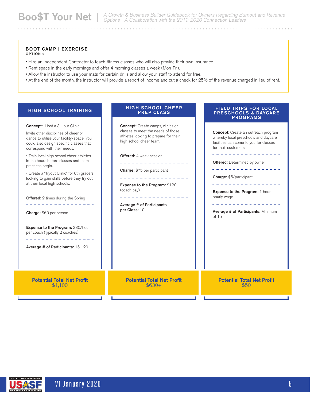FIELD TRIPS FOR LOCAL PRESCHOOLS & DAYCARE PROGRAMS

#### BOOT CAMP | EXERCISE OPTION 2

- Hire an Independent Contractor to teach fitness classes who will also provide their own insurance.
- Rent space in the early mornings and offer 4 morning classes a week (Mon-Fri).
- Allow the instructor to use your mats for certain drills and allow your staff to attend for free.
- At the end of the month, the instructor will provide a report of income and cut a check for 25% of the revenue charged in lieu of rent.

HIGH SCHOOL CHEER PREP CLASS

#### HIGH SCHOOL TRAINING

| <b>Concept:</b> Host a 3 Hour Clinic.<br>Invite other disciplines of cheer or<br>dance to utilize your facility/space. You<br>could also design specific classes that<br>correspond with their needs.<br>• Train local high school cheer athletes<br>in the hours before classes and team<br>practices begin.<br>• Create a "Tryout Clinic" for 8th graders<br>looking to gain skills before they try out<br>at their local high schools.<br><b>Offered:</b> 2 times during the Spring<br>---------<br>Charge: \$60 per person<br>------------<br>Expense to the Program: \$30/hour<br>per coach (typically 2 coaches)<br>Average # of Participants: 15 - 20 | <b>Concept:</b> Create camps, clinics or<br>classes to meet the needs of those<br>athletes looking to prepare for their<br>high school cheer team.<br><b>Offered:</b> 4 week session<br><b>Charge:</b> \$75 per participant<br><b>Expense to the Program: \$120</b><br>(coach pay)<br>Average # of Participants<br>per Class: 10+ | <b>Concept:</b> Create an outreach program<br>whereby local preschools and daycare<br>facilities can come to you for classes<br>for their customers.<br><b>Offered:</b> Determined by owner<br>-------<br>Charge: \$5/participant<br>Expense to the Program: 1 hour<br>hourly wage<br>Average # of Participants: Minimum<br>of 15 |
|--------------------------------------------------------------------------------------------------------------------------------------------------------------------------------------------------------------------------------------------------------------------------------------------------------------------------------------------------------------------------------------------------------------------------------------------------------------------------------------------------------------------------------------------------------------------------------------------------------------------------------------------------------------|-----------------------------------------------------------------------------------------------------------------------------------------------------------------------------------------------------------------------------------------------------------------------------------------------------------------------------------|-----------------------------------------------------------------------------------------------------------------------------------------------------------------------------------------------------------------------------------------------------------------------------------------------------------------------------------|
| <b>Potential Total Net Profit</b>                                                                                                                                                                                                                                                                                                                                                                                                                                                                                                                                                                                                                            | <b>Potential Total Net Profit</b>                                                                                                                                                                                                                                                                                                 | <b>Potential Total Net Profit</b>                                                                                                                                                                                                                                                                                                 |
| \$1,100                                                                                                                                                                                                                                                                                                                                                                                                                                                                                                                                                                                                                                                      | $$630+$                                                                                                                                                                                                                                                                                                                           | \$50                                                                                                                                                                                                                                                                                                                              |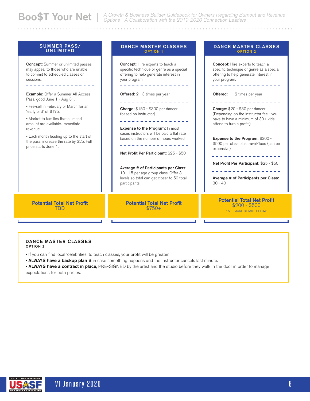#### SUMMER PASS/ DANCE MASTER CLASSES DANCE MASTER CLASSES UNLIMITED OPTION 2 OPTION 1 **Concept:** Summer or unlimited passes Concept: Hire experts to teach a Concept: Hire experts to teach a may appeal to those who are unable specific technique or genre as a special specific technique or genre as a special to commit to scheduled classes or offering to help generate interest in offering to help generate interest in sessions. your program. your program. \_ \_ \_ \_ \_ \_ \_ \_ \_ \_ \_ \_ \_ \_ \_ . . . . . . . . . . . . . . . .  $\frac{1}{2}$  =  $\frac{1}{2}$  =  $\frac{1}{2}$  =  $\frac{1}{2}$  =  $\frac{1}{2}$  =  $\frac{1}{2}$ Example: Offer a Summer All-Access Offered: 2 - 3 times per year Offered: 1 - 2 times per year Pass, good June 1 - Aug 31. ----------------------------------• Pre-sell in February or March for an Charge: \$150 - \$300 per dancer Charge: \$20 - \$30 per dancer "early bird" of \$175. (Depending on the instructor fee - you (based on instructor) • Market to families that a limited have to have a minimum of 30+ kids . . . . . . . . . . . . . . . amount are available. Immediate attend to turn a profit.) Expense to the Program: In most revenue. ----------------cases instructors will be paid a flat rate • Each month leading up to the start of based on the number of hours worked. Expense to the Program: \$300 the pass, increase the rate by \$25. Full \$500 per class plus travel/food (can be \_ \_ \_ \_ \_ \_ \_ \_ \_ \_ \_ \_ \_ \_ \_ \_ price starts June 1. expensive) Net Profit Per Participant: \$25 - \$50 ----------------Net Profit Per Participant: \$25 - \$50 Average # of Participants per Class: ---------------10 - 15 per age group class. Offer 3 levels so total can get closer to 50 total Average # of Participants per Class: 30 - 40 participants. Potential Total Net Profit Potential Total Net Profit Potential Total Net Profit \$200 - \$500 **TBD** \$750+ \* SEE MORE DETAILS BELOW

DANCE MASTER CLASSES OPTION 2

• If you can find local 'celebrities' to teach classes, your profit will be greater.

• ALWAYS have a backup plan B in case something happens and the instructor cancels last minute.

• ALWAYS have a contract in place, PRE-SIGNED by the artist and the studio before they walk in the door in order to manage expectations for both parties.

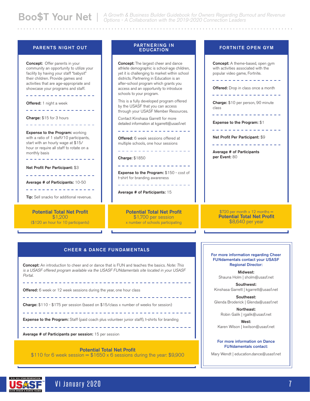#### PARENTS NIGHT OUT

Concept: Offer parents in your **Concept:** The largest cheer and dance Concept: A theme-based, open gym community an opportunity to utilize your athlete demographic is school-age children, with activities associated with the facility by having your staff "babysit" yet it is challenging to market within school popular video game, Fortnite. their children. Provide games and districts. Partnering in Education is an \_ \_ \_ \_ \_ \_ \_ \_ \_ \_ \_ \_ \_ activities that are age-appropriate and after-school program which grants you showcase your programs and staff. access and an opportunity to introduce **Offered:** Drop in class once a month schools to your program. ----------------\_ \_ \_ \_ \_ \_ \_ \_ \_ \_ \_ \_ \_ \_ \_ \_ This is a fully developed program offered Charge: \$10 per person, 90 minute Offered: 1 night a week by the USASF that you can access class ----------------through your USASF Member Resources. Charge: \$15 for 3 hours Contact Kinshasa Garrett for more Expense to the Program: \$1 detailed information at kgarrett@usasf.net \_ \_ \_ \_ \_ \_ \_ \_ \_ \_ \_ \_ \_ \_ \_ \_ \_ -------------\_\_\_\_\_\_\_\_\_\_\_\_\_\_\_\_\_\_ **Expense to the Program: working** Net Profit Per Participant: \$9 with a ratio of 1 staff/10 participants, **Offered:** 6 week sessions offered at start with an hourly wage at \$15/ multiple schools, one hour sessions ------------hour or require all staff to rotate on a \_ \_ \_ \_ \_ \_ \_ \_ \_ \_ \_ \_ \_ \_ \_ \_ Average # of Participants monthly basis per Event: 80 Charge: \$1850 . . . . . . . . . . . . . . . . . \_\_\_\_\_\_\_\_\_\_\_\_\_\_\_\_\_ Net Profit Per Participant: \$3 Expense to the Program: \$150 - cost of \_\_\_\_\_\_\_\_\_\_\_\_\_\_\_ t-shirt for branding awareness Average # of Participants: 10-50 ----------------Average # of Participants: 15 **Tip:** Sell snacks for additional revenue. Potential Total Net Profit Potential Total Net Profit  $$720$  per month x 12 months = \$1,200 Potential Total Net Profit

(\$120 an hour for 10 participants)

#### PARTNERING IN **EDUCATION**

\$1,700 per session x number of schools participating

> For more information regarding Cheer FUNdamentals contact your USASF Regional Director:

\$8,640 per year

FORTNITE OPEN GYM

Midwest: Shauna Holm | sholm@usasf.net

Southwest: Kinshasa Garrett | kgarrett@usasf.net

Southeast: Glenda Broderick | Glenda@usasf.net

Northeast: Robin Galik | rgalik@usasf.net

West: Karen Wilson | kwilson@usasf.net

For more information on Dance FUNdamentals contact:

Mary Wendt | education.dance@usasf.net

#### CHEER & DANCE FUNDAMENTALS

Concept: An introduction to cheer and or dance that is FUN and teaches the basics. Note: This is a USASF offered program available via the USASF FUNdamentals site located in your USASF Portal.

Offered: 6 week or 12 week sessions during the year, one hour class

Charge: \$110 - \$175 per session (based on \$15/class x number of weeks for session)

\_\_\_\_\_\_\_\_\_\_\_\_\_\_\_\_\_\_\_\_\_\_\_\_\_\_\_\_\_\_\_\_\_\_\_\_\_

**Expense to the Program:** Staff (paid coach plus volunteer junior staff), t-shirts for branding

Average # of Participants per session: 15 per session

#### Potential Total Net Profit

\$110 for 6 week session =  $$1650 \times 6$  sessions during the year: \$9,900

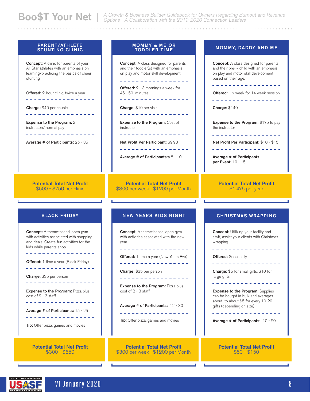#### PARENT/ATHLETE STUNTING CLINIC

**Concept:** A clinic for parents of your All Star athletes with an emphasis on learning/practicing the basics of cheer stunting.

. . . . . . . . . . . . . . . . . .

**Offered:** 2-hour clinic, twice a year

-----------------

Charge: \$40 per couple

 $\mathcal{L}^{\mathcal{L}}\left( \mathcal{L}^{\mathcal{L}}\left( \mathcal{L}^{\mathcal{L}}\right) \right) =\mathcal{L}^{\mathcal{L}}\left( \mathcal{L}^{\mathcal{L}}\right)$ 

Expense to the Program: 2 instructors' normal pay

Average # of Participants: 25 - 35

#### MOMMY & ME OR TODDLER TIME

**Concept:** A class designed for parents and their toddler(s) with an emphasis on play and motor skill development.

-----------------Offered: 2 - 3 mornings a week for 45 - 50 minutes . . . . . . . . . . . . . . . . . .

Charge: \$10 per visit . . . . . . . . . . . . . . . . .

Expense to the Program: Cost of instructor

Net Profit Per Participant: \$9.93

<u>. . . . . . . . . . . . . .</u>

Average # of Participants:s 8 - 10

Potential Total Net Profit \$300 per week | \$1200 per Month

#### BLACK FRIDAY

Potential Total Net Profit \$500 - \$750 per clinic

Concept: A theme-based, open gym with activities associated with shopping and deals. Create fun activities for the kids while parents shop. <u>. . . . . . . . . . . . . .</u>

Offered: 1 time a year (Black Friday) \_ \_ \_ \_ \_ \_ \_ \_ \_ \_ \_ \_ \_ \_ \_ \_ \_

Charge: \$35 per person

-----------------

**Expense to the Program: Pizza plus** cost of 2 - 3 staff \_ \_ \_ \_ \_ \_ \_ \_ \_ \_ \_ \_ \_ \_ \_ \_ \_

Average # of Participants: 15 - 25

-------------

**Tip:** Offer pizza, games and movies

Potential Total Net Profit \$300 - \$650

#### NEW YEARS KIDS NIGHT

Concept: A theme-based, open gym with activities associated with the new year. \_\_\_\_\_\_\_\_\_\_\_\_\_\_ **Offered:** 1 time a year (New Years Eve) ------------------Charge: \$35 per person \_ \_ \_ \_ \_ \_ \_ \_ \_ \_ \_ \_ \_ \_ \_ **Expense to the Program: Pizza plus** cost of 2 - 3 staff . . . . . . . . . . . . . . . . . Average # of Participants: 12 - 30 ------------------**Tip:** Offer pizza, games and movies

Potential Total Net Profit \$300 per week | \$1200 per Month

#### MOMMY, DADDY AND ME

**Concept:** A class designed for parents and their pre-K child with an emphasis on play and motor skill development based on their age. . . . . . . . . . . . . . . . . **Offered:** 1 x week for 14 week session . . . . . . . . . . . . . . . . . Charge: \$140 -----------------Expense to the Program: \$175 to pay the instructor Net Profit Per Participant: \$10 - \$15 . . . . . . . . . . . . . . Average # of Participants per Event: 10 - 15 Potential Total Net Profit \$1,475 per year CHRISTMAS WRAPPING **Concept:** Utilizing your facility and staff, assist your clients with Christmas wrapping. - - - - - - - - - - - - - -**Offered:** Seasonally \_ \_ \_ \_ \_ \_ \_ \_ \_ \_ \_ \_ \_ \_ \_ \_ \_ Charge: \$5 for small gifts, \$10 for large gifts \_ \_ \_ \_ \_ \_ \_ \_ \_ \_ \_ \_ \_ \_ \_ \_ \_ Expense to the Program: Supplies can be bought in bulk and averages about to about \$5 for every 10-20 gifts (depending on size) . . . . . . . . . . . . . Average # of Participants: 10 - 20 Potential Total Net Profit

\$50 - \$150

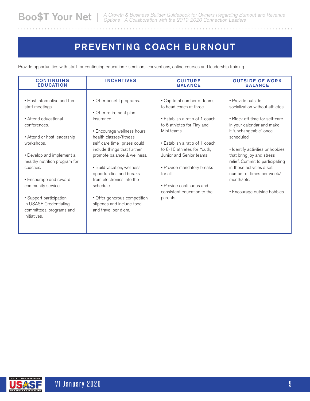## PREVENTING COACH BURNOUT

Provide opportunities with staff for continuing education - seminars, conventions, online courses and leadership training.

| <b>CONTINUING</b>                                                                                                                                                                                                                                                                                                                                              | <b>INCENTIVES</b>                                                                                                                                                                                                                                                                                                                                                                                                   | <b>CULTURE</b>                                                                                                                                                                                                                                                                                                                                   | <b>OUTSIDE OF WORK</b>                                                                                                                                                                                                                                                                                                                                                 |
|----------------------------------------------------------------------------------------------------------------------------------------------------------------------------------------------------------------------------------------------------------------------------------------------------------------------------------------------------------------|---------------------------------------------------------------------------------------------------------------------------------------------------------------------------------------------------------------------------------------------------------------------------------------------------------------------------------------------------------------------------------------------------------------------|--------------------------------------------------------------------------------------------------------------------------------------------------------------------------------------------------------------------------------------------------------------------------------------------------------------------------------------------------|------------------------------------------------------------------------------------------------------------------------------------------------------------------------------------------------------------------------------------------------------------------------------------------------------------------------------------------------------------------------|
| <b>EDUCATION</b>                                                                                                                                                                                                                                                                                                                                               |                                                                                                                                                                                                                                                                                                                                                                                                                     | <b>BALANCE</b>                                                                                                                                                                                                                                                                                                                                   | <b>BALANCE</b>                                                                                                                                                                                                                                                                                                                                                         |
| • Host informative and fun<br>staff meetings.<br>• Attend educational<br>conferences.<br>• Attend or host leadership<br>workshops.<br>• Develop and implement a<br>healthy nutrition program for<br>coaches.<br>• Encourage and reward<br>community service.<br>• Support participation<br>in USASF Credentialing,<br>committees, programs and<br>initiatives. | • Offer benefit programs.<br>• Offer retirement plan<br>insurance.<br>• Encourage wellness hours,<br>health classes/fitness,<br>self-care time- prizes could<br>include things that further<br>promote balance & wellness.<br>• Build vacation, wellness<br>opportunities and breaks<br>from electronics into the<br>schedule.<br>• Offer generous competition<br>stipends and include food<br>and travel per diem. | • Cap total number of teams<br>to head coach at three<br>• Establish a ratio of 1 coach<br>to 6 athletes for Tiny and<br>Mini teams<br>• Establish a ratio of 1 coach<br>to 8-10 athletes for Youth.<br>Junior and Senior teams<br>• Provide mandatory breaks<br>for all.<br>• Provide continuous and<br>consistent education to the<br>parents. | · Provide outside<br>socialization without athletes.<br>• Block off time for self-care<br>in your calendar and make<br>it "unchangeable" once<br>scheduled<br>• Identify activities or hobbies<br>that bring joy and stress<br>relief. Commit to participating<br>in those activities a set<br>number of times per week/<br>month/etc.<br>• Encourage outside hobbies. |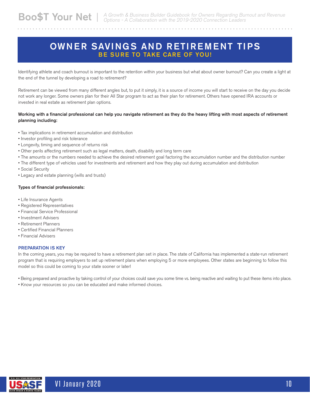## OWNER SAVINGS AND RETIREMENT TIPS BE SURE TO TAKE CARE OF YOU!

Identifying athlete and coach burnout is important to the retention within your business but what about owner burnout? Can you create a light at the end of the tunnel by developing a road to retirement?

Retirement can be viewed from many different angles but, to put it simply, it is a source of income you will start to receive on the day you decide not work any longer. Some owners plan for their All Star program to act as their plan for retirement. Others have opened IRA accounts or invested in real estate as retirement plan options.

#### Working with a financial professional can help you navigate retirement as they do the heavy lifting with most aspects of retirement planning including:

- Tax implications in retirement accumulation and distribution
- Investor profiling and risk tolerance
- Longevity, timing and sequence of returns risk
- Other perils affecting retirement such as legal matters, death, disability and long term care
- The amounts or the numbers needed to achieve the desired retirement goal factoring the accumulation number and the distribution number
- The different type of vehicles used for investments and retirement and how they play out during accumulation and distribution
- Social Security
- Legacy and estate planning (wills and trusts)

#### Types of financial professionals:

- Life Insurance Agents
- Registered Representatives
- Financial Service Professional
- Investment Advisers
- Retirement Planners
- Certified Financial Planners
- Financial Advisers

#### PREPARATION IS KEY

In the coming years, you may be required to have a retirement plan set in place. The state of California has implemented a state-run retirement program that is requiring employers to set up retirement plans when employing 5 or more employees. Other states are beginning to follow this model so this could be coming to your state sooner or later!

• Being prepared and proactive by taking control of your choices could save you some time vs. being reactive and waiting to put these items into place.

• Know your resources so you can be educated and make informed choices.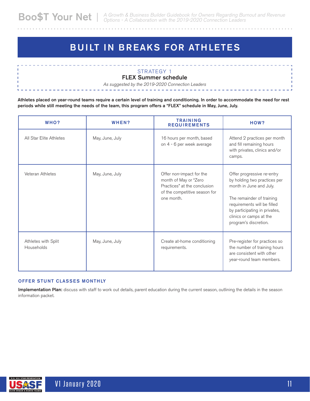# BUILT IN BREAKS FOR ATHLETES

### STRATEGY 1

FLEX Summer schedule

As suggested by the 2019-2020 Connection Leaders

Athletes placed on year-round teams require a certain level of training and conditioning. In order to accommodate the need for rest periods while still meeting the needs of the team, this program offers a "FLEX" schedule in May, June, July.

| WHO?                              | WHEN?           | <b>TRAINING</b><br><b>REQUIREMENTS</b>                                                                                           | HOW?                                                                                                                                                                                                                                   |
|-----------------------------------|-----------------|----------------------------------------------------------------------------------------------------------------------------------|----------------------------------------------------------------------------------------------------------------------------------------------------------------------------------------------------------------------------------------|
| All Star Elite Athletes           | May, June, July | 16 hours per month, based<br>on 4 - 6 per week average                                                                           | Attend 2 practices per month<br>and fill remaining hours<br>with privates, clinics and/or<br>camps.                                                                                                                                    |
| Veteran Athletes                  | May, June, July | Offer non-impact for the<br>month of May or "Zero<br>Practices" at the conclusion<br>of the competitive season for<br>one month. | Offer progressive re-entry<br>by holding two practices per<br>month in June and July.<br>The remainder of training<br>requirements will be filled<br>by participating in privates,<br>clinics or camps at the<br>program's discretion. |
| Athletes with Split<br>Households | May, June, July | Create at-home conditioning<br>requirements.                                                                                     | Pre-register for practices so<br>the number of training hours<br>are consistent with other<br>year-round team members.                                                                                                                 |

#### OFFER STUNT CLASSES MONTHLY

Implementation Plan: discuss with staff to work out details, parent education during the current season, outlining the details in the season information packet.

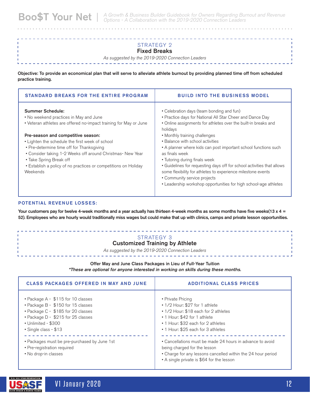### STRATEGY 2

#### Fixed Breaks

As suggested by the 2019-2020 Connection Leaders

Objective: To provide an economical plan that will serve to alleviate athlete burnout by providing planned time off from scheduled practice training.

| <b>STANDARD BREAKS FOR THE ENTIRE PROGRAM</b>                                                                                                                                                                                                                                                              | <b>BUILD INTO THE BUSINESS MODEL</b>                                                                                                                                                                                                                                                                                                                                                                                                  |
|------------------------------------------------------------------------------------------------------------------------------------------------------------------------------------------------------------------------------------------------------------------------------------------------------------|---------------------------------------------------------------------------------------------------------------------------------------------------------------------------------------------------------------------------------------------------------------------------------------------------------------------------------------------------------------------------------------------------------------------------------------|
| <b>Summer Schedule:</b><br>• No weekend practices in May and June<br>• Veteran athletes are offered no-impact training for May or June                                                                                                                                                                     | • Celebration days (team bonding and fun)<br>• Practice days for National All Star Cheer and Dance Day<br>• Online assignments for athletes over the built-in breaks and<br>holidays                                                                                                                                                                                                                                                  |
| Pre-season and competitive season:<br>• Lighten the schedule the first week of school<br>• Pre-determine time off for Thanksgiving<br>• Consider taking 1-2 Weeks off around Christmas- New Year<br>• Take Spring Break off<br>• Establish a policy of no practices or competitions on Holiday<br>Weekends | • Monthly training challenges<br>• Balance with school activities<br>• A planner where kids can post important school functions such<br>as finals week<br>• Tutoring during finals week<br>• Guidelines for requesting days off for school activities that allows<br>some flexibility for athletes to experience milestone events<br>• Community service projects<br>• Leadership workshop opportunities for high school-age athletes |

#### POTENTIAL REVENUE LOSSES:

Your customers pay for twelve 4-week months and a year actually has thirteen 4-week months as some months have five weeks(13 x 4 = 52). Employees who are hourly would traditionally miss wages but could make that up with clinics, camps and private lesson opportunities.

#### STRATEGY 3 Customized Training by Athlete

As suggested by the 2019-2020 Connection Leaders

#### Offer May and June Class Packages in Lieu of Full-Year Tuition

\*These are optional for anyone interested in working on skills during these months.

| <b>CLASS PACKAGES OFFERED IN MAY AND JUNE</b>                                                                                                                                                        | <b>ADDITIONAL CLASS PRICES</b>                                                                                                                                                                                |
|------------------------------------------------------------------------------------------------------------------------------------------------------------------------------------------------------|---------------------------------------------------------------------------------------------------------------------------------------------------------------------------------------------------------------|
| • Package A - \$115 for 10 classes<br>• Package B - \$150 for 15 classes<br>• Package C - \$185 for 20 classes<br>• Package D - \$215 for 25 classes<br>• Unlimited - \$300<br>• Single class - \$13 | • Private Pricing<br>$\cdot$ 1/2 Hour: \$27 for 1 athlete<br>• 1/2 Hour: \$18 each for 2 athletes<br>• 1 Hour: \$42 for 1 athlete<br>• 1 Hour: \$32 each for 2 athletes<br>• 1 Hour: \$25 each for 3 athletes |
| • Packages must be pre-purchased by June 1st<br>• Pre-registration required<br>• No drop-in classes                                                                                                  | • Cancellations must be made 24 hours in advance to avoid<br>being charged for the lesson<br>• Charge for any lessons cancelled within the 24 hour period<br>• A single private is \$64 for the lesson        |

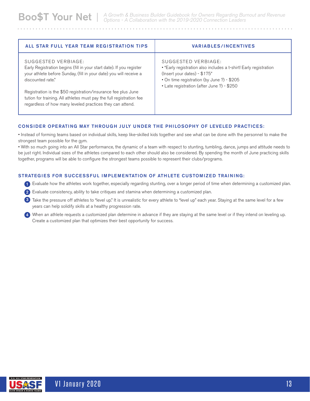ALL STAR FULL YEAR TEAM REGISTRATION TIPS VARIABLES/INCENTIVES SUGGESTED VERBIAGE: Early Registration begins (fill in your start date). If you register your athlete before Sunday, (fill in your date) you will receive a discounted rate." Registration is the \$50 registration/insurance fee plus June tution for training. All athletes must pay the full registration fee regardless of how many leveled practices they can attend. SUGGESTED VERBIAGE: • "Early registration also includes a t-shirt! Early registration (Insert your dates) - \$175" • On time registration (by June ?) - \$205 • Late registration (after June ?) - \$250

#### CONSIDER OPERATING MAY THROUGH JULY UNDER THE PHILOSOPHY OF LEVELED PRACTICES:

• Instead of forming teams based on individual skills, keep like-skilled kids together and see what can be done with the personnel to make the strongest team possible for the gym.

• With so much going into an All Star performance, the dynamic of a team with respect to stunting, tumbling, dance, jumps and attitude needs to be just right. Individual sizes of the athletes compared to each other should also be considered. By spending the month of June practicing skills together, programs will be able to configure the strongest teams possible to represent their clubs/programs.

#### STRATEGIES FOR SUCCESSFUL IMPLEMENTATION OF ATHLETE CUSTOMIZED TRAINING:

- 1) Evaluate how the athletes work together, especially regarding stunting, over a longer period of time when determining a customized plan.
- 2) Evaluate consistency, ability to take critiques and stamina when determining a customized plan.
- 3) Take the pressure off athletes to "level up." It is unrealistic for every athlete to "level up" each year. Staying at the same level for a few years can help solidify skills at a healthy progression rate.
- 4) When an athlete requests a customized plan determine in advance if they are staying at the same level or if they intend on leveling up. Create a customized plan that optimizes their best opportunity for success.

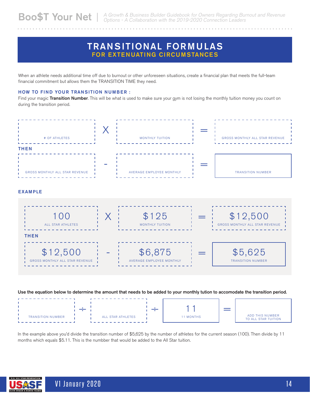### TRANSITIONAL FORMULAS FOR EXTENUATING CIRCUMSTANCES

When an athlete needs additional time off due to burnout or other unforeseen situations, create a financial plan that meets the full-team financial commitment but allows them the TRANSITION TIME they need.

#### HOW TO FIND YOUR TRANSITION NUMBER :

Find your magic Transition Number. This will be what is used to make sure your gym is not losing the monthly tuition money you count on during the transition period.



#### EXAMPLE



#### Use the equation below to determine the amount that needs to be added to your monthly tution to accomodate the transition period.

|                          |                   |           | ADD THIS NUMBER     |
|--------------------------|-------------------|-----------|---------------------|
| <b>TRANSITION NUMBER</b> | ALL STAR ATHLETES | 11 MONTHS | TO ALL STAR TUITION |
|                          |                   |           |                     |

In the example above you'd divide the transition number of \$5,625 by the number of athletes for the current season (100). Then divide by 11 months which equals \$5.11. This is the numbber that would be added to the All Star tuition.

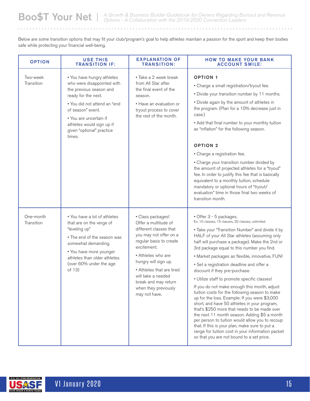Below are some transition options that may fit your club/program's goal to help athletes maintain a passion for the sport and keep their bodies safe while protecting your financial well-being.

| <b>OPTION</b>           | <b>USE THIS</b><br><b>TRANSITION IF:</b>                                                                                                                                                                                                                      | <b>EXPLANATION OF</b><br><b>TRANSITION:</b>                                                                                                                                                                                                                                                               | <b>HOW TO MAKE YOUR BANK</b><br><b>ACCOUNT SMILE:</b>                                                                                                                                                                                                                                                                                                                                                                                                                                                                                                                                                                                                                                                                                                                                                                                                                                                                                                                          |
|-------------------------|---------------------------------------------------------------------------------------------------------------------------------------------------------------------------------------------------------------------------------------------------------------|-----------------------------------------------------------------------------------------------------------------------------------------------------------------------------------------------------------------------------------------------------------------------------------------------------------|--------------------------------------------------------------------------------------------------------------------------------------------------------------------------------------------------------------------------------------------------------------------------------------------------------------------------------------------------------------------------------------------------------------------------------------------------------------------------------------------------------------------------------------------------------------------------------------------------------------------------------------------------------------------------------------------------------------------------------------------------------------------------------------------------------------------------------------------------------------------------------------------------------------------------------------------------------------------------------|
| Two-week<br>Transition  | • You have hungry athletes<br>who were disappointed with<br>the previous season and<br>ready for the next.<br>• You did not attend an "end<br>of season" event.<br>• You are uncertain if<br>athletes would sign up if<br>given "optional" practice<br>times. | • Take a 2 week break<br>from All Star after<br>the final event of the<br>season.<br>• Have an evaluation or<br>tryout process to cover<br>the rest of the month.                                                                                                                                         | <b>OPTION 1</b><br>• Charge a small registration/tryout fee.<br>• Divide your transition number by 11 months.<br>• Divide again by the amount of athletes in<br>the program. (Plan for a 10% decrease just in<br>case.)<br>• Add that final number to your monthly tuition<br>as "inflation" for the following season.<br><b>OPTION 2</b><br>• Charge a registration fee.<br>• Charge your transition number divided by<br>the amount of projected athletes for a "tryout"<br>fee. In order to justify this fee that is basically<br>equivalent to a monthly tuition, schedule<br>mandatory or optional hours of "tryout/<br>evaluation" time in those final two weeks of<br>transition month.                                                                                                                                                                                                                                                                                 |
| One-month<br>Transition | • You have a lot of athletes<br>that are on the verge of<br>"leveling up"<br>• The end of the season was<br>somewhat demanding.<br>• You have more younger<br>athletes than older athletes.<br>(over 60% under the age<br>of 13)                              | • Class packages!<br>Offer a multitude of<br>different classes that<br>you may not offer on a<br>regular basis to create<br>excitement.<br>• Athletes who are<br>hungry will sign up.<br>• Athletes that are tired<br>will take a needed<br>break and may return<br>when they previously<br>may not have. | • Offer 3 - 5 packages.<br>Ex. 10 classes, 15 classes, 20 classes, unlimited.<br>• Take your "Transition Number" and divide it by<br>HALF of your All Star athletes (assuming only<br>half will purchase a package). Make the 2nd or<br>3rd package equal to this number you find.<br>• Market packages as flexible, innovative, FUN!<br>• Set a registration deadline and offer a<br>discount if they pre-purchase.<br>• Utilize staff to promote specific classes!<br>If you do not make enough this month, adjust<br>tuition costs for the following season to make<br>up for the loss. Example: If you were \$3,000<br>short, and have 50 athletes in your program,<br>that's \$250 more that needs to be made over<br>the next 11 month season. Adding \$5 a month<br>per person to tuition would allow you to recoup<br>that. If this is your plan, make sure to put a<br>range for tuition cost in your information packet<br>so that you are not bound to a set price. |